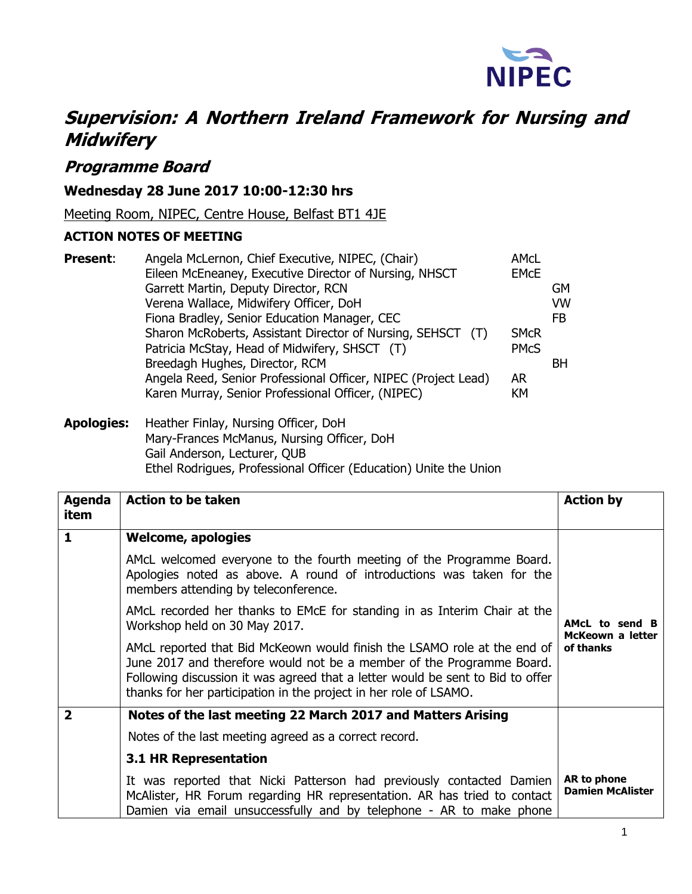

# **Supervision: A Northern Ireland Framework for Nursing and Midwifery**

# **Programme Board**

## **Wednesday 28 June 2017 10:00-12:30 hrs**

Meeting Room, NIPEC, Centre House, Belfast BT1 4JE

### **ACTION NOTES OF MEETING**

| <b>Present:</b> | Angela McLernon, Chief Executive, NIPEC, (Chair)               | AMcL        |                |
|-----------------|----------------------------------------------------------------|-------------|----------------|
|                 | Eileen McEneaney, Executive Director of Nursing, NHSCT         | <b>EMCE</b> |                |
|                 | Garrett Martin, Deputy Director, RCN                           |             | <b>GM</b>      |
|                 | Verena Wallace, Midwifery Officer, DoH                         |             | <b>VW</b>      |
|                 | Fiona Bradley, Senior Education Manager, CEC                   |             | F <sub>B</sub> |
|                 | Sharon McRoberts, Assistant Director of Nursing, SEHSCT (T)    | <b>SMCR</b> |                |
|                 | Patricia McStay, Head of Midwifery, SHSCT (T)                  | <b>PMCS</b> |                |
|                 | Breedagh Hughes, Director, RCM                                 |             | <b>BH</b>      |
|                 | Angela Reed, Senior Professional Officer, NIPEC (Project Lead) | <b>AR</b>   |                |
|                 | Karen Murray, Senior Professional Officer, (NIPEC)             | <b>KM</b>   |                |
|                 |                                                                |             |                |

#### **Apologies:** Heather Finlay, Nursing Officer, DoH Mary-Frances McManus, Nursing Officer, DoH Gail Anderson, Lecturer, QUB Ethel Rodrigues, Professional Officer (Education) Unite the Union

| Agenda<br>item          | <b>Action to be taken</b>                                                                                                                                                                                                                                                                                | <b>Action by</b>                       |
|-------------------------|----------------------------------------------------------------------------------------------------------------------------------------------------------------------------------------------------------------------------------------------------------------------------------------------------------|----------------------------------------|
| $\mathbf 1$             | <b>Welcome, apologies</b>                                                                                                                                                                                                                                                                                |                                        |
|                         | AMcL welcomed everyone to the fourth meeting of the Programme Board.<br>Apologies noted as above. A round of introductions was taken for the<br>members attending by teleconference.                                                                                                                     |                                        |
|                         | AMcL recorded her thanks to EMcE for standing in as Interim Chair at the<br>Workshop held on 30 May 2017.                                                                                                                                                                                                | AMcL to send B<br>McKeown a letter     |
|                         | AMcL reported that Bid McKeown would finish the LSAMO role at the end of<br>June 2017 and therefore would not be a member of the Programme Board.<br>Following discussion it was agreed that a letter would be sent to Bid to offer<br>thanks for her participation in the project in her role of LSAMO. | of thanks                              |
| $\overline{\mathbf{2}}$ | Notes of the last meeting 22 March 2017 and Matters Arising                                                                                                                                                                                                                                              |                                        |
|                         | Notes of the last meeting agreed as a correct record.                                                                                                                                                                                                                                                    |                                        |
|                         | <b>3.1 HR Representation</b>                                                                                                                                                                                                                                                                             |                                        |
|                         | It was reported that Nicki Patterson had previously contacted Damien<br>McAlister, HR Forum regarding HR representation. AR has tried to contact<br>Damien via email unsuccessfully and by telephone - AR to make phone                                                                                  | AR to phone<br><b>Damien McAlister</b> |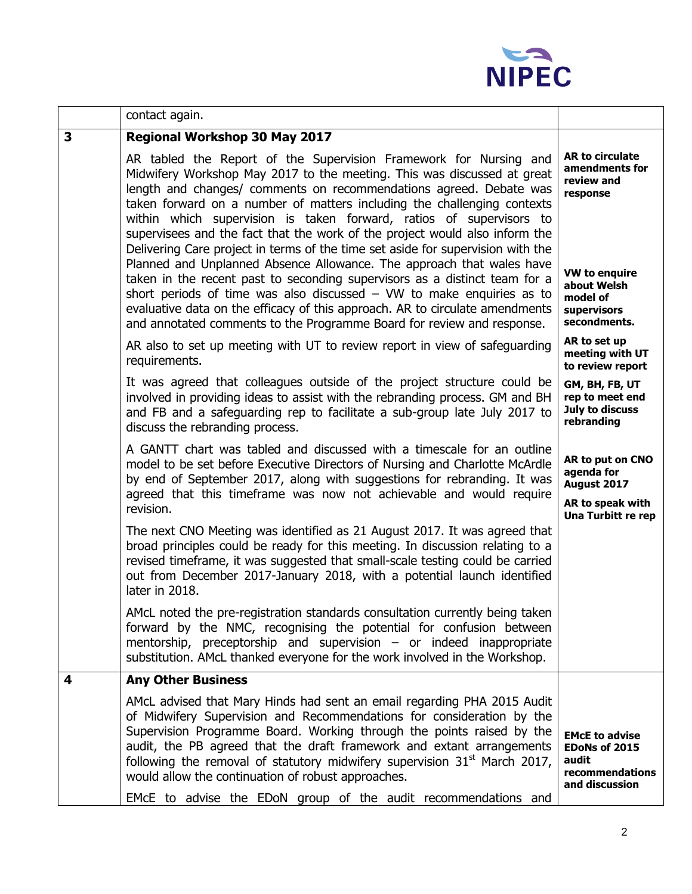

| contact again.                                                                                                                                                                                                                                                                                                                                                                                                                                                                                                                                                                                                                                                                                                                                                                                                                                                                                                                     |                                                                                                                                                                                                                                                                                                                                                                           |  |
|------------------------------------------------------------------------------------------------------------------------------------------------------------------------------------------------------------------------------------------------------------------------------------------------------------------------------------------------------------------------------------------------------------------------------------------------------------------------------------------------------------------------------------------------------------------------------------------------------------------------------------------------------------------------------------------------------------------------------------------------------------------------------------------------------------------------------------------------------------------------------------------------------------------------------------|---------------------------------------------------------------------------------------------------------------------------------------------------------------------------------------------------------------------------------------------------------------------------------------------------------------------------------------------------------------------------|--|
| <b>Regional Workshop 30 May 2017</b>                                                                                                                                                                                                                                                                                                                                                                                                                                                                                                                                                                                                                                                                                                                                                                                                                                                                                               |                                                                                                                                                                                                                                                                                                                                                                           |  |
| AR tabled the Report of the Supervision Framework for Nursing and<br>Midwifery Workshop May 2017 to the meeting. This was discussed at great<br>length and changes/ comments on recommendations agreed. Debate was<br>taken forward on a number of matters including the challenging contexts<br>within which supervision is taken forward, ratios of supervisors to<br>supervisees and the fact that the work of the project would also inform the<br>Delivering Care project in terms of the time set aside for supervision with the<br>Planned and Unplanned Absence Allowance. The approach that wales have<br>taken in the recent past to seconding supervisors as a distinct team for a<br>short periods of time was also discussed $-$ VW to make enquiries as to<br>evaluative data on the efficacy of this approach. AR to circulate amendments<br>and annotated comments to the Programme Board for review and response. | AR to circulate<br>amendments for<br>review and<br>response<br><b>VW to enquire</b><br>about Welsh<br>model of<br>supervisors<br>secondments.                                                                                                                                                                                                                             |  |
| AR also to set up meeting with UT to review report in view of safeguarding<br>requirements.                                                                                                                                                                                                                                                                                                                                                                                                                                                                                                                                                                                                                                                                                                                                                                                                                                        | AR to set up<br>meeting with UT<br>to review report                                                                                                                                                                                                                                                                                                                       |  |
| It was agreed that colleagues outside of the project structure could be<br>involved in providing ideas to assist with the rebranding process. GM and BH<br>and FB and a safeguarding rep to facilitate a sub-group late July 2017 to<br>discuss the rebranding process.                                                                                                                                                                                                                                                                                                                                                                                                                                                                                                                                                                                                                                                            | GM, BH, FB, UT<br>rep to meet end<br>July to discuss<br>rebranding                                                                                                                                                                                                                                                                                                        |  |
| revision.                                                                                                                                                                                                                                                                                                                                                                                                                                                                                                                                                                                                                                                                                                                                                                                                                                                                                                                          |                                                                                                                                                                                                                                                                                                                                                                           |  |
| The next CNO Meeting was identified as 21 August 2017. It was agreed that<br>broad principles could be ready for this meeting. In discussion relating to a<br>revised timeframe, it was suggested that small-scale testing could be carried<br>out from December 2017-January 2018, with a potential launch identified<br>later in 2018.                                                                                                                                                                                                                                                                                                                                                                                                                                                                                                                                                                                           |                                                                                                                                                                                                                                                                                                                                                                           |  |
| AMcL noted the pre-registration standards consultation currently being taken<br>forward by the NMC, recognising the potential for confusion between<br>mentorship, preceptorship and supervision $-$ or indeed inappropriate<br>substitution. AMcL thanked everyone for the work involved in the Workshop.                                                                                                                                                                                                                                                                                                                                                                                                                                                                                                                                                                                                                         |                                                                                                                                                                                                                                                                                                                                                                           |  |
| <b>Any Other Business</b>                                                                                                                                                                                                                                                                                                                                                                                                                                                                                                                                                                                                                                                                                                                                                                                                                                                                                                          |                                                                                                                                                                                                                                                                                                                                                                           |  |
| AMcL advised that Mary Hinds had sent an email regarding PHA 2015 Audit<br>of Midwifery Supervision and Recommendations for consideration by the<br>Supervision Programme Board. Working through the points raised by the<br>audit, the PB agreed that the draft framework and extant arrangements<br>following the removal of statutory midwifery supervision $31st$ March 2017,<br>would allow the continuation of robust approaches.                                                                                                                                                                                                                                                                                                                                                                                                                                                                                            | <b>EMCE to advise</b><br>EDoNs of 2015<br>audit<br>recommendations<br>and discussion                                                                                                                                                                                                                                                                                      |  |
|                                                                                                                                                                                                                                                                                                                                                                                                                                                                                                                                                                                                                                                                                                                                                                                                                                                                                                                                    | A GANTT chart was tabled and discussed with a timescale for an outline<br>model to be set before Executive Directors of Nursing and Charlotte McArdle<br>by end of September 2017, along with suggestions for rebranding. It was<br>agreed that this timeframe was now not achievable and would require<br>EMCE to advise the EDoN group of the audit recommendations and |  |